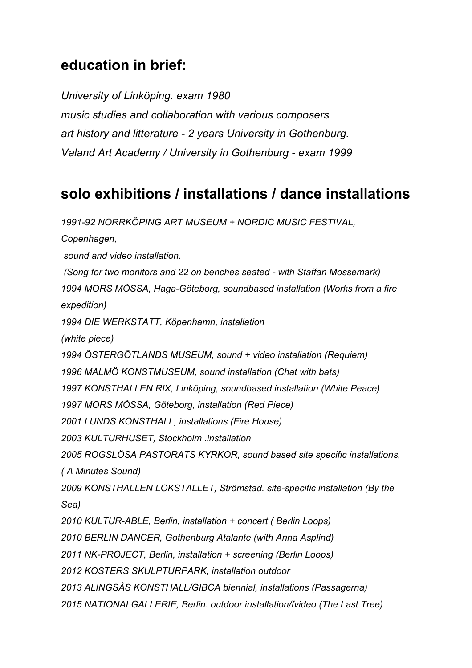## **education in brief:**

*University of Linköping. exam 1980 music studies and collaboration with various composers art history and litterature - 2 years University in Gothenburg. Valand Art Academy / University in Gothenburg - exam 1999* 

## **solo exhibitions / installations / dance installations**

*1991-92 NORRKÖPING ART MUSEUM + NORDIC MUSIC FESTIVAL, Copenhagen, sound and video installation. (Song for two monitors and 22 on benches seated - with Staffan Mossemark) 1994 MORS MÖSSA, Haga-Göteborg, soundbased installation (Works from a fire expedition) 1994 DIE WERKSTATT, Köpenhamn, installation (white piece) 1994 ÖSTERGÖTLANDS MUSEUM, sound + video installation (Requiem) 1996 MALMÖ KONSTMUSEUM, sound installation (Chat with bats) 1997 KONSTHALLEN RIX, Linköping, soundbased installation (White Peace) 1997 MORS MÖSSA, Göteborg, installation (Red Piece) 2001 LUNDS KONSTHALL, installations (Fire House) 2003 KULTURHUSET, Stockholm .installation 2005 ROGSLÖSA PASTORATS KYRKOR, sound based site specific installations, ( A Minutes Sound) 2009 KONSTHALLEN LOKSTALLET, Strömstad. site-specific installation (By the Sea) 2010 KULTUR-ABLE, Berlin, installation + concert ( Berlin Loops) 2010 BERLIN DANCER, Gothenburg Atalante (with Anna Asplind) 2011 NK-PROJECT, Berlin, installation + screening (Berlin Loops) 2012 KOSTERS SKULPTURPARK, installation outdoor 2013 ALINGSÅS KONSTHALL/GIBCA biennial, installations (Passagerna) 2015 NATIONALGALLERIE, Berlin. outdoor installation/fvideo (The Last Tree)*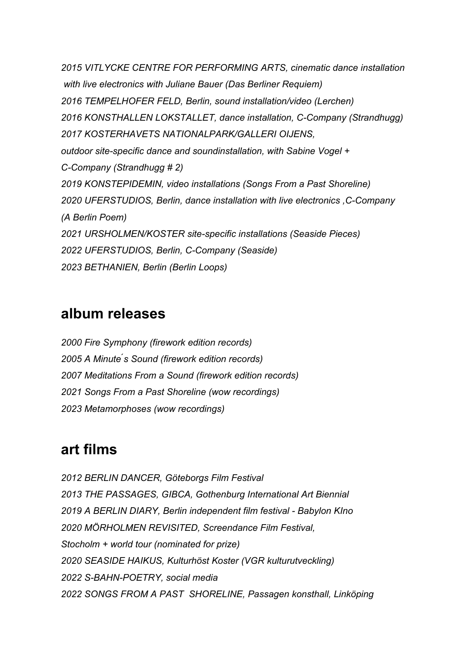*2015 VITLYCKE CENTRE FOR PERFORMING ARTS, cinematic dance installation with live electronics with Juliane Bauer (Das Berliner Requiem) 2016 TEMPELHOFER FELD, Berlin, sound installation/video (Lerchen) 2016 KONSTHALLEN LOKSTALLET, dance installation, C-Company (Strandhugg) 2017 KOSTERHAVETS NATIONALPARK/GALLERI OIJENS, outdoor site-specific dance and soundinstallation, with Sabine Vogel + C-Company (Strandhugg # 2) 2019 KONSTEPIDEMIN, video installations (Songs From a Past Shoreline) 2020 UFERSTUDIOS, Berlin, dance installation with live electronics ,C-Company (A Berlin Poem) 2021 URSHOLMEN/KOSTER site-specific installations (Seaside Pieces) 2022 UFERSTUDIOS, Berlin, C-Company (Seaside) 2023 BETHANIEN, Berlin (Berlin Loops)*

## **album releases**

*2000 Fire Symphony (firework edition records) 2005 A Minute ́s Sound (firework edition records) 2007 Meditations From a Sound (firework edition records) 2021 Songs From a Past Shoreline (wow recordings) 2023 Metamorphoses (wow recordings)*

## **art films**

*2012 BERLIN DANCER, Göteborgs Film Festival 2013 THE PASSAGES, GIBCA, Gothenburg International Art Biennial 2019 A BERLIN DIARY, Berlin independent film festival - Babylon KIno 2020 MÖRHOLMEN REVISITED, Screendance Film Festival, Stocholm + world tour (nominated for prize) 2020 SEASIDE HAIKUS, Kulturhöst Koster (VGR kulturutveckling) 2022 S-BAHN-POETRY, social media 2022 SONGS FROM A PAST SHORELINE, Passagen konsthall, Linköping*